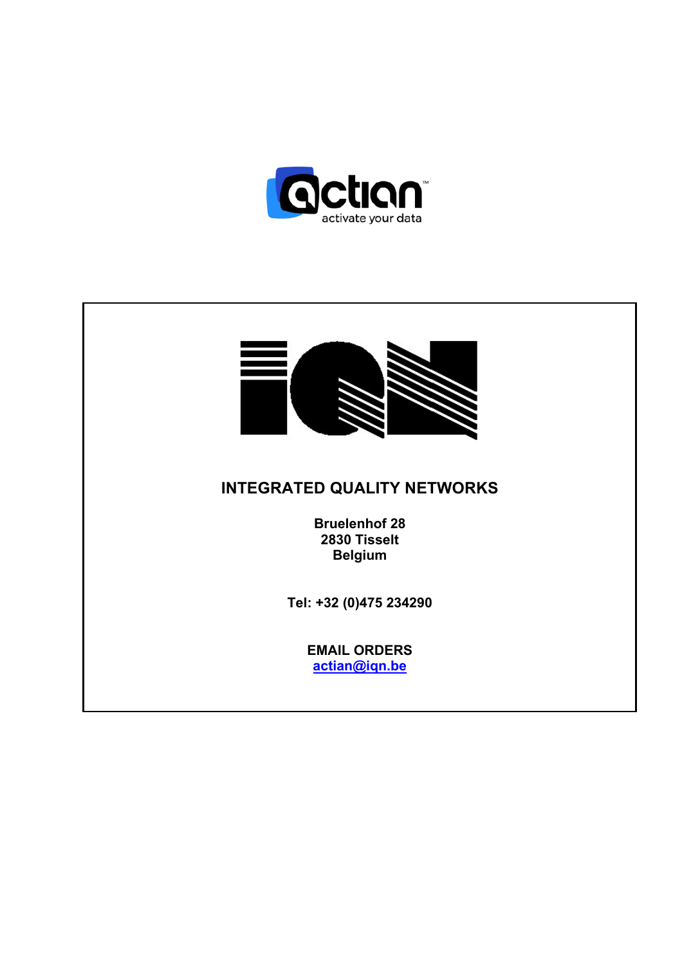

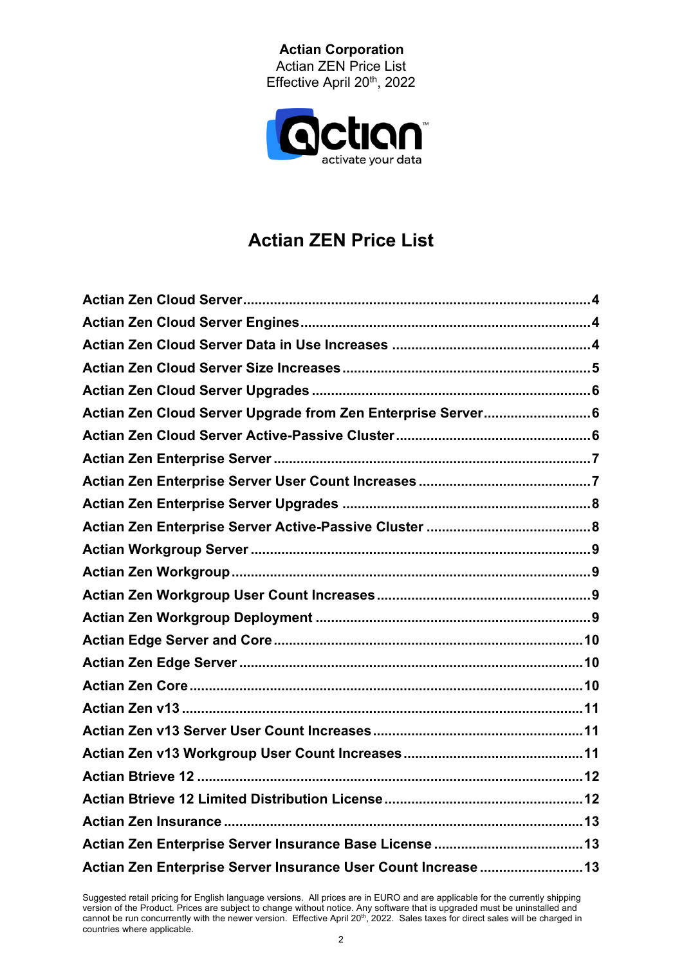**Actian Corporation**  Actian ZEN Price List Effective April 20<sup>th</sup>, 2022



# **Actian ZEN Price List**

| Actian Zen Cloud Server Upgrade from Zen Enterprise Server 6   |  |
|----------------------------------------------------------------|--|
|                                                                |  |
|                                                                |  |
|                                                                |  |
|                                                                |  |
|                                                                |  |
|                                                                |  |
|                                                                |  |
|                                                                |  |
|                                                                |  |
|                                                                |  |
|                                                                |  |
|                                                                |  |
|                                                                |  |
|                                                                |  |
|                                                                |  |
|                                                                |  |
|                                                                |  |
|                                                                |  |
|                                                                |  |
| Actian Zen Enterprise Server Insurance User Count Increase  13 |  |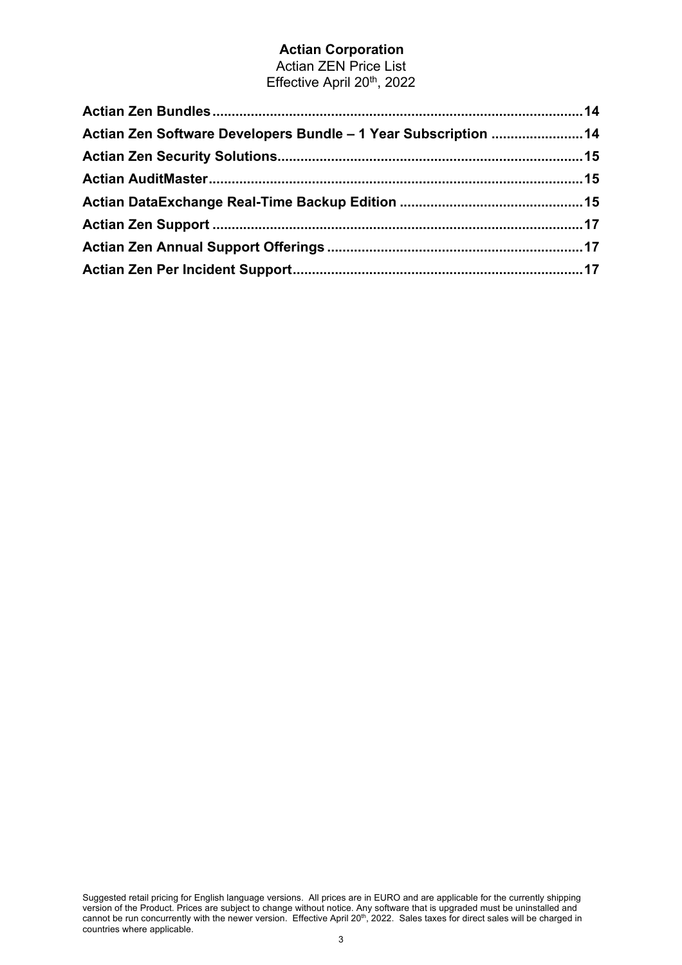Actian ZEN Price List Effective April 20<sup>th</sup>, 2022

| Actian Zen Software Developers Bundle - 1 Year Subscription  14 |  |
|-----------------------------------------------------------------|--|
|                                                                 |  |
|                                                                 |  |
|                                                                 |  |
|                                                                 |  |
|                                                                 |  |
|                                                                 |  |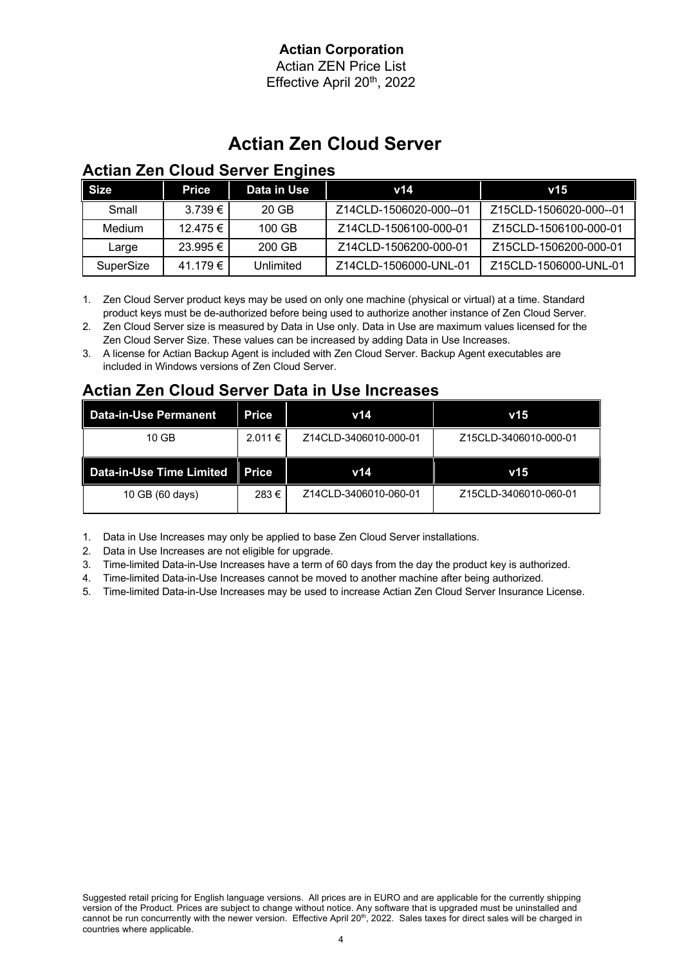Actian ZEN Price List Effective April 20th, 2022

# **Actian Zen Cloud Server**

## **Actian Zen Cloud Server Engines**

| <b>Size</b> | Price          | Data in Use | v14                    | v15                    |
|-------------|----------------|-------------|------------------------|------------------------|
| Small       | 3.739 € I      | 20 GB       | Z14CLD-1506020-000--01 | Z15CLD-1506020-000--01 |
| Medium      | 12.475 € 1     | $100$ GB    | Z14CLD-1506100-000-01  | Z15CLD-1506100-000-01  |
| Large       | $23.995 \in I$ | 200 GB      | Z14CLD-1506200-000-01  | Z15CLD-1506200-000-01  |
| SuperSize   | 41.179 € I     | Unlimited   | Z14CLD-1506000-UNL-01  | Z15CLD-1506000-UNL-01  |

1. Zen Cloud Server product keys may be used on only one machine (physical or virtual) at a time. Standard product keys must be de-authorized before being used to authorize another instance of Zen Cloud Server.

2. Zen Cloud Server size is measured by Data in Use only. Data in Use are maximum values licensed for the Zen Cloud Server Size. These values can be increased by adding Data in Use Increases.

3. A license for Actian Backup Agent is included with Zen Cloud Server. Backup Agent executables are included in Windows versions of Zen Cloud Server.

### **Actian Zen Cloud Server Data in Use Increases**

| Data-in-Use Permanent    | Price  | v14                   | v15                   |
|--------------------------|--------|-----------------------|-----------------------|
| 10 GB                    | 2.011€ | Z14CLD-3406010-000-01 | Z15CLD-3406010-000-01 |
|                          |        |                       |                       |
| Data-in-Use Time Limited | Price  | v14                   | v15                   |

1. Data in Use Increases may only be applied to base Zen Cloud Server installations.

2. Data in Use Increases are not eligible for upgrade.

3. Time-limited Data-in-Use Increases have a term of 60 days from the day the product key is authorized.

4. Time-limited Data-in-Use Increases cannot be moved to another machine after being authorized.

5. Time-limited Data-in-Use Increases may be used to increase Actian Zen Cloud Server Insurance License.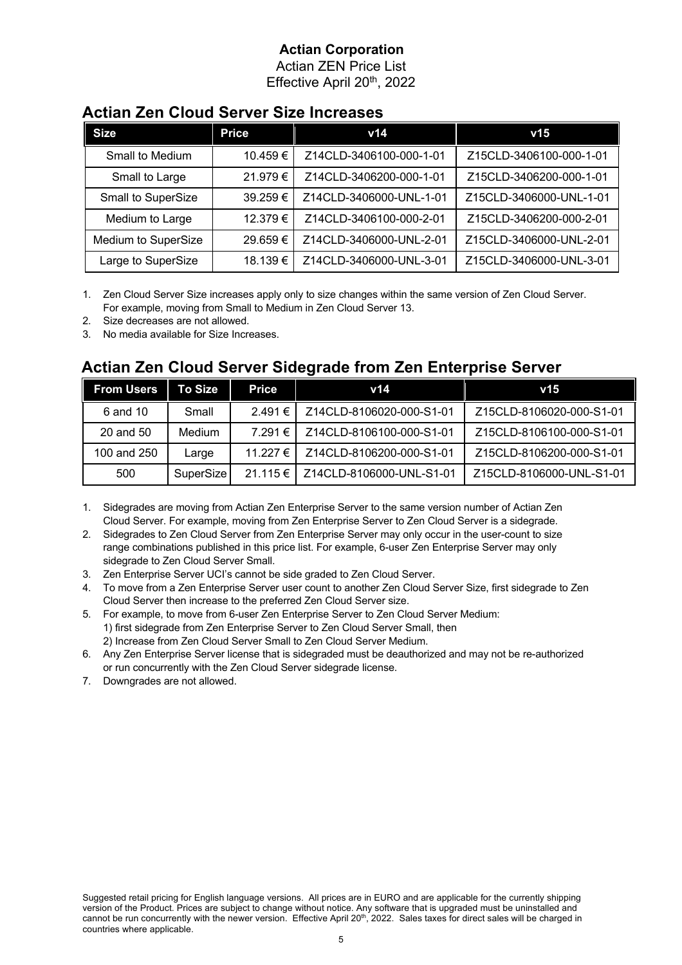Actian ZEN Price List Effective April 20th, 2022

#### **Actian Zen Cloud Server Size Increases**

| <b>Size</b>         | <b>Price</b> | v14                     | v15                     |
|---------------------|--------------|-------------------------|-------------------------|
| Small to Medium     | 10.459€      | Z14CLD-3406100-000-1-01 | Z15CLD-3406100-000-1-01 |
| Small to Large      | 21.979€      | Z14CLD-3406200-000-1-01 | Z15CLD-3406200-000-1-01 |
| Small to SuperSize  | 39.259€      | Z14CLD-3406000-UNL-1-01 | Z15CLD-3406000-UNL-1-01 |
| Medium to Large     | 12.379€      | Z14CLD-3406100-000-2-01 | Z15CLD-3406200-000-2-01 |
| Medium to SuperSize | 29.659€      | Z14CLD-3406000-UNL-2-01 | Z15CLD-3406000-UNL-2-01 |
| Large to SuperSize  | 18.139€      | Z14CLD-3406000-UNL-3-01 | Z15CLD-3406000-UNL-3-01 |

1. Zen Cloud Server Size increases apply only to size changes within the same version of Zen Cloud Server. For example, moving from Small to Medium in Zen Cloud Server 13.

- 2. Size decreases are not allowed.
- 3. No media available for Size Increases.

#### **Actian Zen Cloud Server Sidegrade from Zen Enterprise Server**

| <b>From Users</b> | To Size          | Price    | v14                      | v15                      |
|-------------------|------------------|----------|--------------------------|--------------------------|
| 6 and 10          | Small            | 2.491 €  | Z14CLD-8106020-000-S1-01 | Z15CLD-8106020-000-S1-01 |
| 20 and 50         | Medium           | 7.291 €  | Z14CLD-8106100-000-S1-01 | Z15CLD-8106100-000-S1-01 |
| 100 and 250       | Large            | 11.227 € | Z14CLD-8106200-000-S1-01 | Z15CLD-8106200-000-S1-01 |
| 500               | <b>SuperSize</b> | 21.115 € | Z14CLD-8106000-UNL-S1-01 | Z15CLD-8106000-UNL-S1-01 |

1. Sidegrades are moving from Actian Zen Enterprise Server to the same version number of Actian Zen Cloud Server. For example, moving from Zen Enterprise Server to Zen Cloud Server is a sidegrade.

2. Sidegrades to Zen Cloud Server from Zen Enterprise Server may only occur in the user-count to size range combinations published in this price list. For example, 6-user Zen Enterprise Server may only sidegrade to Zen Cloud Server Small.

- 3. Zen Enterprise Server UCI's cannot be side graded to Zen Cloud Server.
- 4. To move from a Zen Enterprise Server user count to another Zen Cloud Server Size, first sidegrade to Zen Cloud Server then increase to the preferred Zen Cloud Server size.
- 5. For example, to move from 6-user Zen Enterprise Server to Zen Cloud Server Medium: 1) first sidegrade from Zen Enterprise Server to Zen Cloud Server Small, then 2) Increase from Zen Cloud Server Small to Zen Cloud Server Medium.
- 6. Any Zen Enterprise Server license that is sidegraded must be deauthorized and may not be re-authorized or run concurrently with the Zen Cloud Server sidegrade license.
- 7. Downgrades are not allowed.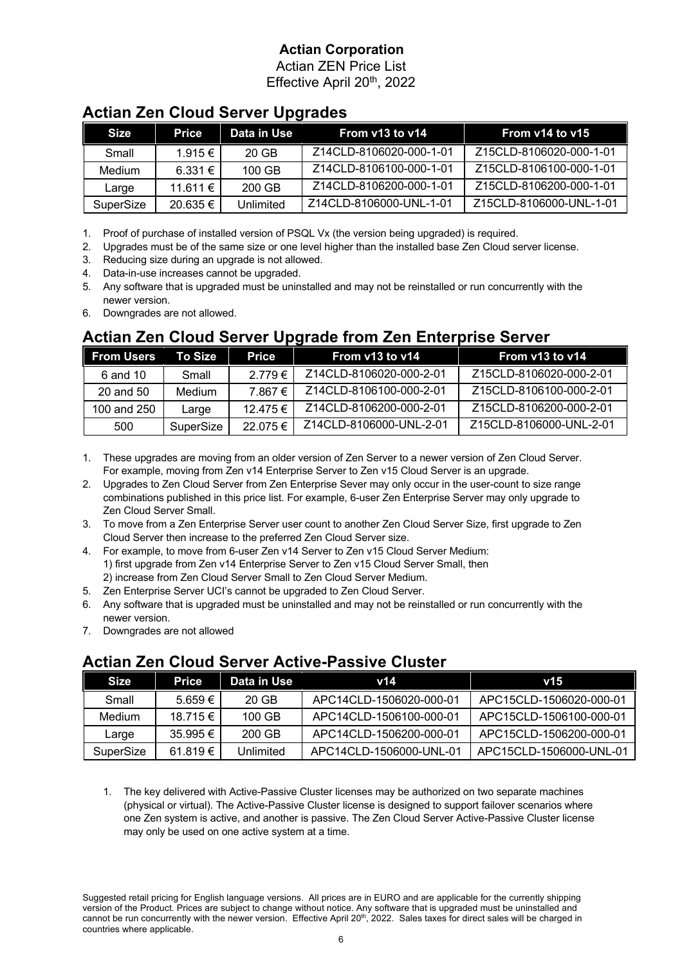Actian ZEN Price List Effective April 20<sup>th</sup>, 2022

| . .         |              |             |                         |                         |
|-------------|--------------|-------------|-------------------------|-------------------------|
| <b>Size</b> | Price        | Data in Use | From $v13$ to $v14$     | From $v14$ to $v15$     |
| Small       | $1.915 \in$  | 20 GB       | Z14CLD-8106020-000-1-01 | Z15CLD-8106020-000-1-01 |
| Medium      | 6.331 €      | $100$ GB    | Z14CLD-8106100-000-1-01 | Z15CLD-8106100-000-1-01 |
| Large       | $11.611 \in$ | 200 GB      | Z14CLD-8106200-000-1-01 | Z15CLD-8106200-000-1-01 |
| SuperSize   | 20.635€      | Unlimited   | Z14CLD-8106000-UNL-1-01 | Z15CLD-8106000-UNL-1-01 |

### **Actian Zen Cloud Server Upgrades**

1. Proof of purchase of installed version of PSQL Vx (the version being upgraded) is required.

- 2. Upgrades must be of the same size or one level higher than the installed base Zen Cloud server license.
- 3. Reducing size during an upgrade is not allowed.
- 4. Data-in-use increases cannot be upgraded.
- 5. Any software that is upgraded must be uninstalled and may not be reinstalled or run concurrently with the newer version.
- 6. Downgrades are not allowed.

## **Actian Zen Cloud Server Upgrade from Zen Enterprise Server**

| <b>From Users</b> | To Size   | Price       | From $v13$ to $v14$     | From $v13$ to $v14$     |
|-------------------|-----------|-------------|-------------------------|-------------------------|
| 6 and 10          | Small     | $2.779 \in$ | Z14CLD-8106020-000-2-01 | Z15CLD-8106020-000-2-01 |
| 20 and 50         | Medium    | 7.867€      | Z14CLD-8106100-000-2-01 | Z15CLD-8106100-000-2-01 |
| 100 and 250       | Large     | 12.475 €    | Z14CLD-8106200-000-2-01 | Z15CLD-8106200-000-2-01 |
| 500               | SuperSize | 22.075€     | Z14CLD-8106000-UNL-2-01 | Z15CLD-8106000-UNL-2-01 |

- 1. These upgrades are moving from an older version of Zen Server to a newer version of Zen Cloud Server. For example, moving from Zen v14 Enterprise Server to Zen v15 Cloud Server is an upgrade.
- 2. Upgrades to Zen Cloud Server from Zen Enterprise Sever may only occur in the user-count to size range combinations published in this price list. For example, 6-user Zen Enterprise Server may only upgrade to Zen Cloud Server Small.
- 3. To move from a Zen Enterprise Server user count to another Zen Cloud Server Size, first upgrade to Zen Cloud Server then increase to the preferred Zen Cloud Server size.
- 4. For example, to move from 6-user Zen v14 Server to Zen v15 Cloud Server Medium: 1) first upgrade from Zen v14 Enterprise Server to Zen v15 Cloud Server Small, then 2) increase from Zen Cloud Server Small to Zen Cloud Server Medium.
- 5. Zen Enterprise Server UCI's cannot be upgraded to Zen Cloud Server.
- 6. Any software that is upgraded must be uninstalled and may not be reinstalled or run concurrently with the newer version.
- 7. Downgrades are not allowed

## **Actian Zen Cloud Server Active-Passive Cluster**

| Size      | Price        | Data in Use | v14                     | $\mathsf{v}$ 15         |
|-----------|--------------|-------------|-------------------------|-------------------------|
| Small     | $5.659 \in$  | 20 GB       | APC14CLD-1506020-000-01 | APC15CLD-1506020-000-01 |
| Medium    | 18 715 €     | $100$ GB    | APC14CLD-1506100-000-01 | APC15CLD-1506100-000-01 |
| Large     | $35.995 \in$ | 200 GB      | APC14CLD-1506200-000-01 | APC15CLD-1506200-000-01 |
| SuperSize | 61 819 €     | Unlimited   | APC14CLD-1506000-UNL-01 | APC15CLD-1506000-UNL-01 |

1. The key delivered with Active-Passive Cluster licenses may be authorized on two separate machines (physical or virtual). The Active-Passive Cluster license is designed to support failover scenarios where one Zen system is active, and another is passive. The Zen Cloud Server Active-Passive Cluster license may only be used on one active system at a time.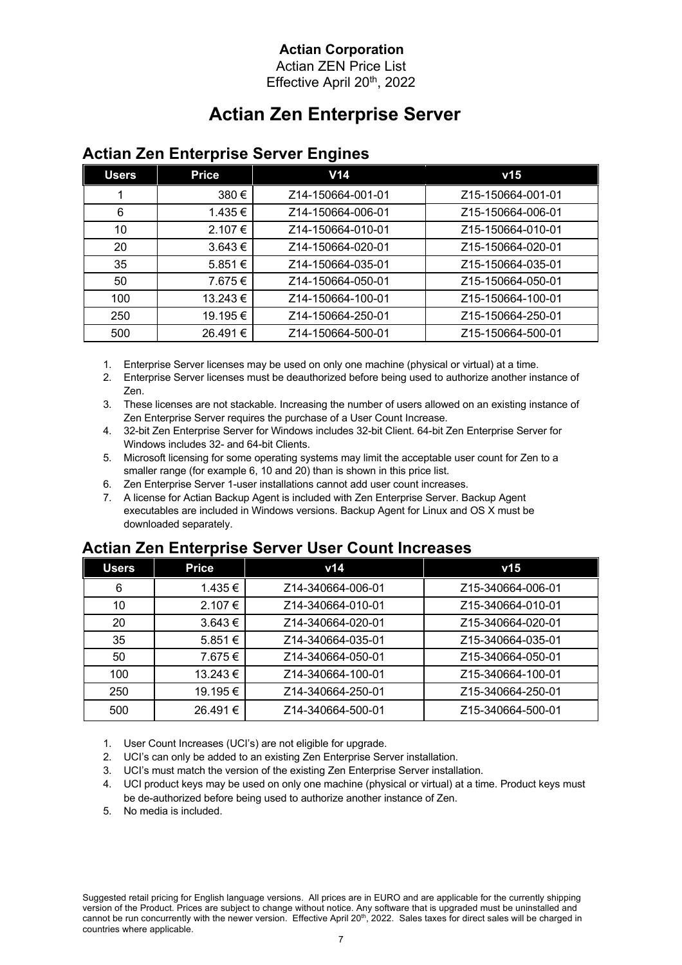Actian ZEN Price List Effective April 20th, 2022

# **Actian Zen Enterprise Server**

| <b>Users</b> | <b>Price</b> | V <sub>14</sub>   | v15               |
|--------------|--------------|-------------------|-------------------|
|              | 380€         | Z14-150664-001-01 | Z15-150664-001-01 |
| 6            | 1.435 €      | Z14-150664-006-01 | Z15-150664-006-01 |
| 10           | 2.107 €      | Z14-150664-010-01 | Z15-150664-010-01 |
| 20           | $3.643 \in$  | Z14-150664-020-01 | Z15-150664-020-01 |
| 35           | 5.851€       | Z14-150664-035-01 | Z15-150664-035-01 |
| 50           | 7.675€       | Z14-150664-050-01 | Z15-150664-050-01 |
| 100          | 13.243 €     | Z14-150664-100-01 | Z15-150664-100-01 |
| 250          | 19.195€      | Z14-150664-250-01 | Z15-150664-250-01 |
| 500          | 26.491€      | Z14-150664-500-01 | Z15-150664-500-01 |

#### **Actian Zen Enterprise Server Engines**

1. Enterprise Server licenses may be used on only one machine (physical or virtual) at a time.

- 2. Enterprise Server licenses must be deauthorized before being used to authorize another instance of Zen.
- 3. These licenses are not stackable. Increasing the number of users allowed on an existing instance of Zen Enterprise Server requires the purchase of a User Count Increase.
- 4. 32-bit Zen Enterprise Server for Windows includes 32-bit Client. 64-bit Zen Enterprise Server for Windows includes 32- and 64-bit Clients.
- 5. Microsoft licensing for some operating systems may limit the acceptable user count for Zen to a smaller range (for example 6, 10 and 20) than is shown in this price list.
- 6. Zen Enterprise Server 1-user installations cannot add user count increases.
- 7. A license for Actian Backup Agent is included with Zen Enterprise Server. Backup Agent executables are included in Windows versions. Backup Agent for Linux and OS X must be downloaded separately.

#### **Actian Zen Enterprise Server User Count Increases**

| <b>Users</b> | <b>Price</b> | v14               | v15               |
|--------------|--------------|-------------------|-------------------|
| 6            | 1.435 €      | Z14-340664-006-01 | Z15-340664-006-01 |
| 10           | 2.107 €      | Z14-340664-010-01 | Z15-340664-010-01 |
| 20           | $3.643 \in$  | Z14-340664-020-01 | Z15-340664-020-01 |
| 35           | $5.851 \in$  | Z14-340664-035-01 | Z15-340664-035-01 |
| 50           | 7.675 €      | Z14-340664-050-01 | Z15-340664-050-01 |
| 100          | 13.243 €     | Z14-340664-100-01 | Z15-340664-100-01 |
| 250          | 19.195€      | Z14-340664-250-01 | Z15-340664-250-01 |
| 500          | 26.491 €     | Z14-340664-500-01 | Z15-340664-500-01 |

1. User Count Increases (UCI's) are not eligible for upgrade.

- 2. UCI's can only be added to an existing Zen Enterprise Server installation.
- 3. UCI's must match the version of the existing Zen Enterprise Server installation.
- 4. UCI product keys may be used on only one machine (physical or virtual) at a time. Product keys must be de-authorized before being used to authorize another instance of Zen.
- 5. No media is included.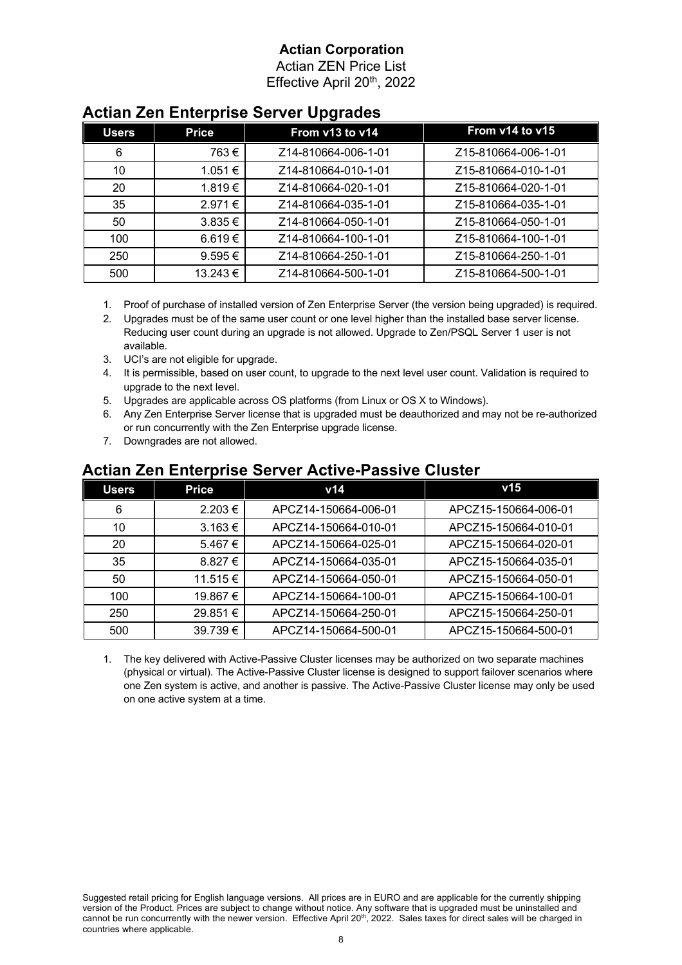Actian ZEN Price List Effective April 20th, 2022

| . .          |              |                     |                     |  |
|--------------|--------------|---------------------|---------------------|--|
| <b>Users</b> | <b>Price</b> | From v13 to v14     | From v14 to v15     |  |
| 6            | 763€         | Z14-810664-006-1-01 | Z15-810664-006-1-01 |  |
| 10           | 1.051 €      | Z14-810664-010-1-01 | Z15-810664-010-1-01 |  |
| 20           | 1.819€       | Z14-810664-020-1-01 | Z15-810664-020-1-01 |  |
| 35           | 2.971€       | Z14-810664-035-1-01 | Z15-810664-035-1-01 |  |
| 50           | $3.835 \in$  | Z14-810664-050-1-01 | Z15-810664-050-1-01 |  |
| 100          | 6.619 €      | Z14-810664-100-1-01 | Z15-810664-100-1-01 |  |
| 250          | $9.595 \in$  | Z14-810664-250-1-01 | Z15-810664-250-1-01 |  |
| 500          | 13.243 €     | Z14-810664-500-1-01 | Z15-810664-500-1-01 |  |

#### **Actian Zen Enterprise Server Upgrades**

- 1. Proof of purchase of installed version of Zen Enterprise Server (the version being upgraded) is required.
- 2. Upgrades must be of the same user count or one level higher than the installed base server license. Reducing user count during an upgrade is not allowed. Upgrade to Zen/PSQL Server 1 user is not available.
- 3. UCI's are not eligible for upgrade.
- 4. It is permissible, based on user count, to upgrade to the next level user count. Validation is required to upgrade to the next level.
- 5. Upgrades are applicable across OS platforms (from Linux or OS X to Windows).
- 6. Any Zen Enterprise Server license that is upgraded must be deauthorized and may not be re-authorized or run concurrently with the Zen Enterprise upgrade license.
- 7. Downgrades are not allowed.

| <b>Users</b> | <b>Price</b> | v14                  | v15                  |
|--------------|--------------|----------------------|----------------------|
| 6            | 2.203€       | APCZ14-150664-006-01 | APCZ15-150664-006-01 |
| 10           | $3.163 \in$  | APCZ14-150664-010-01 | APCZ15-150664-010-01 |
| 20           | $5.467 \in$  | APCZ14-150664-025-01 | APCZ15-150664-020-01 |
| 35           | 8.827 €      | APCZ14-150664-035-01 | APCZ15-150664-035-01 |
| 50           | 11.515€      | APCZ14-150664-050-01 | APCZ15-150664-050-01 |
| 100          | 19.867 €     | APCZ14-150664-100-01 | APCZ15-150664-100-01 |
| 250          | 29.851€      | APCZ14-150664-250-01 | APCZ15-150664-250-01 |
| 500          | 39.739€      | APCZ14-150664-500-01 | APCZ15-150664-500-01 |

#### **Actian Zen Enterprise Server Active-Passive Cluster**

1. The key delivered with Active-Passive Cluster licenses may be authorized on two separate machines (physical or virtual). The Active-Passive Cluster license is designed to support failover scenarios where one Zen system is active, and another is passive. The Active-Passive Cluster license may only be used on one active system at a time.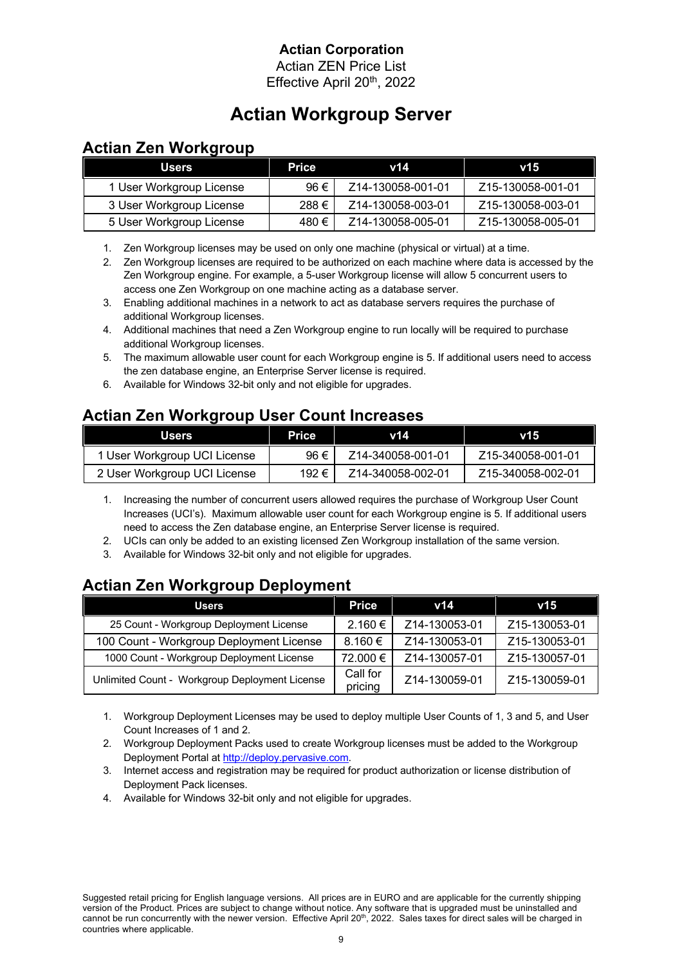Actian ZEN Price List Effective April 20<sup>th</sup>, 2022

# **Actian Workgroup Server**

## **Actian Zen Workgroup**

| <b>Users</b>             | <b>Price</b> | v14               | V15               |
|--------------------------|--------------|-------------------|-------------------|
| 1 User Workgroup License | 96€          | Z14-130058-001-01 | Z15-130058-001-01 |
| 3 User Workgroup License | 288€         | Z14-130058-003-01 | Z15-130058-003-01 |
| 5 User Workgroup License | 480 €        | Z14-130058-005-01 | Z15-130058-005-01 |

1. Zen Workgroup licenses may be used on only one machine (physical or virtual) at a time.

2. Zen Workgroup licenses are required to be authorized on each machine where data is accessed by the Zen Workgroup engine. For example, a 5-user Workgroup license will allow 5 concurrent users to access one Zen Workgroup on one machine acting as a database server.

- 3. Enabling additional machines in a network to act as database servers requires the purchase of additional Workgroup licenses.
- 4. Additional machines that need a Zen Workgroup engine to run locally will be required to purchase additional Workgroup licenses.
- 5. The maximum allowable user count for each Workgroup engine is 5. If additional users need to access the zen database engine, an Enterprise Server license is required.
- 6. Available for Windows 32-bit only and not eligible for upgrades.

## **Actian Zen Workgroup User Count Increases**

| <b>Users</b>                 | Price | v14               | v15               |
|------------------------------|-------|-------------------|-------------------|
| 1 User Workgroup UCI License | 96 €  | Z14-340058-001-01 | Z15-340058-001-01 |
| 2 User Workgroup UCI License | 192 € | Z14-340058-002-01 | Z15-340058-002-01 |

- 1. Increasing the number of concurrent users allowed requires the purchase of Workgroup User Count Increases (UCI's). Maximum allowable user count for each Workgroup engine is 5. If additional users need to access the Zen database engine, an Enterprise Server license is required.
- 2. UCIs can only be added to an existing licensed Zen Workgroup installation of the same version.
- 3. Available for Windows 32-bit only and not eligible for upgrades.

## **Actian Zen Workgroup Deployment**

| <b>Users</b>                                   | <b>Price</b>        | v14           | V15           |
|------------------------------------------------|---------------------|---------------|---------------|
| 25 Count - Workgroup Deployment License        | $2.160 \in$         | Z14-130053-01 | Z15-130053-01 |
| 100 Count - Workgroup Deployment License       | $8.160 \in$         | Z14-130053-01 | Z15-130053-01 |
| 1000 Count - Workgroup Deployment License      | 72.000 €            | Z14-130057-01 | Z15-130057-01 |
| Unlimited Count - Workgroup Deployment License | Call for<br>pricing | Z14-130059-01 | Z15-130059-01 |

1. Workgroup Deployment Licenses may be used to deploy multiple User Counts of 1, 3 and 5, and User Count Increases of 1 and 2.

2. Workgroup Deployment Packs used to create Workgroup licenses must be added to the Workgroup Deployment Portal at http://deploy.pervasive.com.

3. Internet access and registration may be required for product authorization or license distribution of Deployment Pack licenses.

4. Available for Windows 32-bit only and not eligible for upgrades.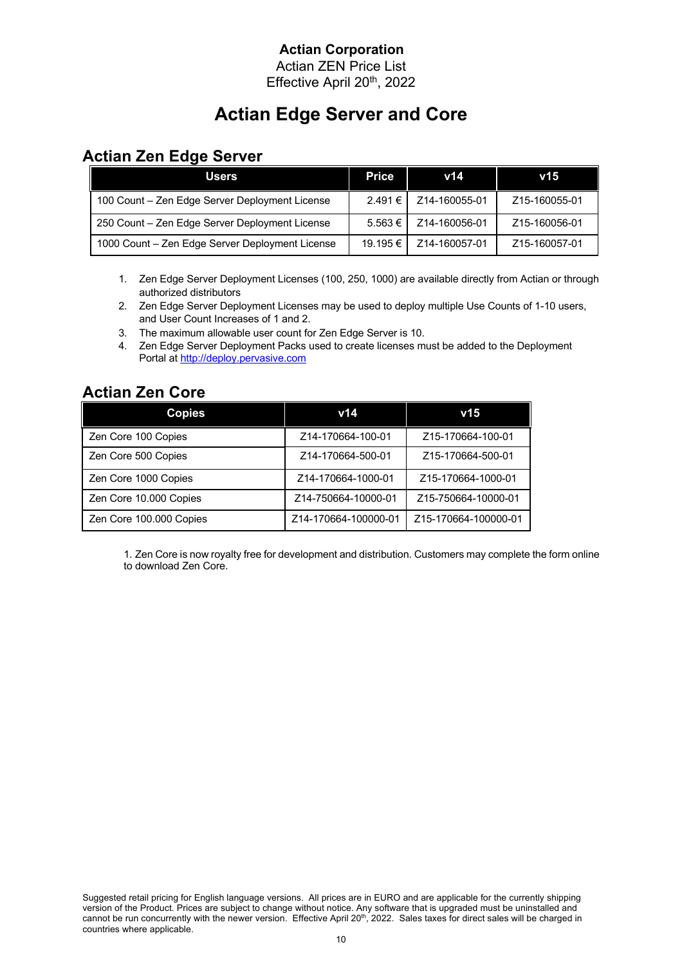Actian ZEN Price List Effective April 20th, 2022

# **Actian Edge Server and Core**

### **Actian Zen Edge Server**

| <b>Users</b>                                    | Price       | v14           | v15           |
|-------------------------------------------------|-------------|---------------|---------------|
| 100 Count - Zen Edge Server Deployment License  | 2.491€      | Z14-160055-01 | Z15-160055-01 |
| 250 Count - Zen Edge Server Deployment License  | $5.563 \in$ | Z14-160056-01 | Z15-160056-01 |
| 1000 Count - Zen Edge Server Deployment License | 19.195 €    | Z14-160057-01 | Z15-160057-01 |

- 1. Zen Edge Server Deployment Licenses (100, 250, 1000) are available directly from Actian or through authorized distributors
- 2. Zen Edge Server Deployment Licenses may be used to deploy multiple Use Counts of 1-10 users, and User Count Increases of 1 and 2.
- 3. The maximum allowable user count for Zen Edge Server is 10.
- 4. Zen Edge Server Deployment Packs used to create licenses must be added to the Deployment Portal at http://deploy.pervasive.com

# **Actian Zen Core**

| <b>Copies</b>           | v14                  | v15                  |
|-------------------------|----------------------|----------------------|
| Zen Core 100 Copies     | Z14-170664-100-01    | Z15-170664-100-01    |
| Zen Core 500 Copies     | Z14-170664-500-01    | Z15-170664-500-01    |
| Zen Core 1000 Copies    | Z14-170664-1000-01   | Z15-170664-1000-01   |
| Zen Core 10.000 Copies  | Z14-750664-10000-01  | Z15-750664-10000-01  |
| Zen Core 100.000 Copies | Z14-170664-100000-01 | Z15-170664-100000-01 |

1. Zen Core is now royalty free for development and distribution. Customers may complete the form online to download Zen Core.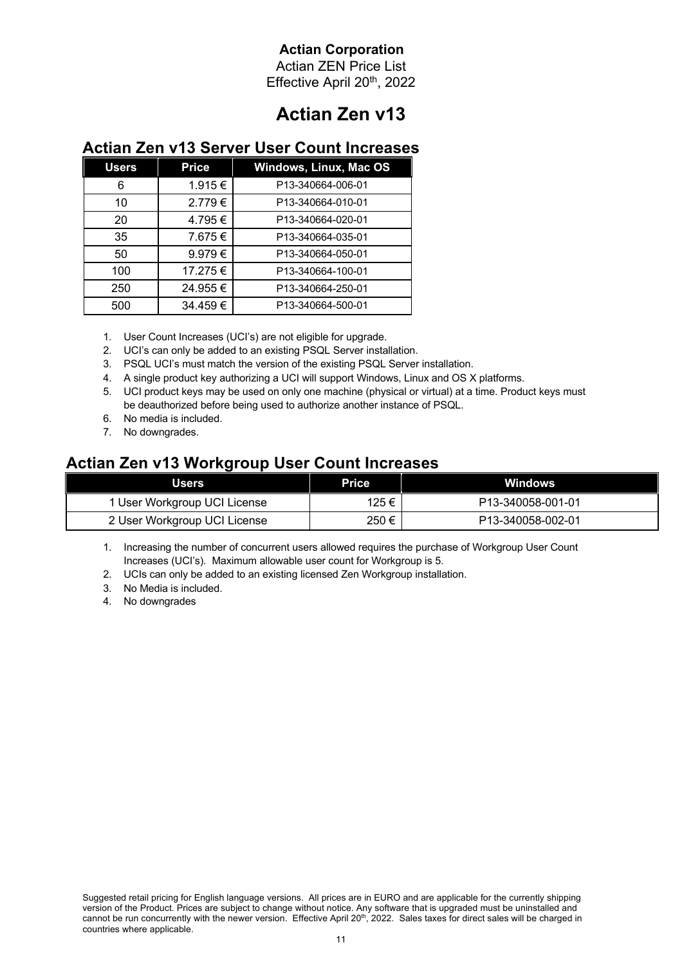Actian ZEN Price List Effective April 20th, 2022

# **Actian Zen v13**

#### **Actian Zen v13 Server User Count Increases**

| <b>Users</b> | <b>Price</b> | <b>Windows, Linux, Mac OS</b> |
|--------------|--------------|-------------------------------|
| 6            | 1.915 €      | P13-340664-006-01             |
| 10           | 2.779€       | P13-340664-010-01             |
| 20           | 4.795€       | P13-340664-020-01             |
| 35           | 7.675€       | P13-340664-035-01             |
| 50           | 9.979€       | P13-340664-050-01             |
| 100          | 17.275 €     | P13-340664-100-01             |
| 250          | 24.955€      | P13-340664-250-01             |
| 500          | 34.459€      | P13-340664-500-01             |

1. User Count Increases (UCI's) are not eligible for upgrade.

- 2. UCI's can only be added to an existing PSQL Server installation.
- 3. PSQL UCI's must match the version of the existing PSQL Server installation.
- 4. A single product key authorizing a UCI will support Windows, Linux and OS X platforms.
- 5. UCI product keys may be used on only one machine (physical or virtual) at a time. Product keys must be deauthorized before being used to authorize another instance of PSQL.
- 6. No media is included.
- 7. No downgrades.

# **Actian Zen v13 Workgroup User Count Increases**

| Users                        | Price | <b>Windows</b>                 |
|------------------------------|-------|--------------------------------|
| 1 User Workgroup UCI License | 125 € | P <sub>13</sub> -340058-001-01 |
| 2 User Workgroup UCI License | 250€  | P <sub>13</sub> -340058-002-01 |

1. Increasing the number of concurrent users allowed requires the purchase of Workgroup User Count Increases (UCI's). Maximum allowable user count for Workgroup is 5.

- 2. UCIs can only be added to an existing licensed Zen Workgroup installation.
- 3. No Media is included.
- 4. No downgrades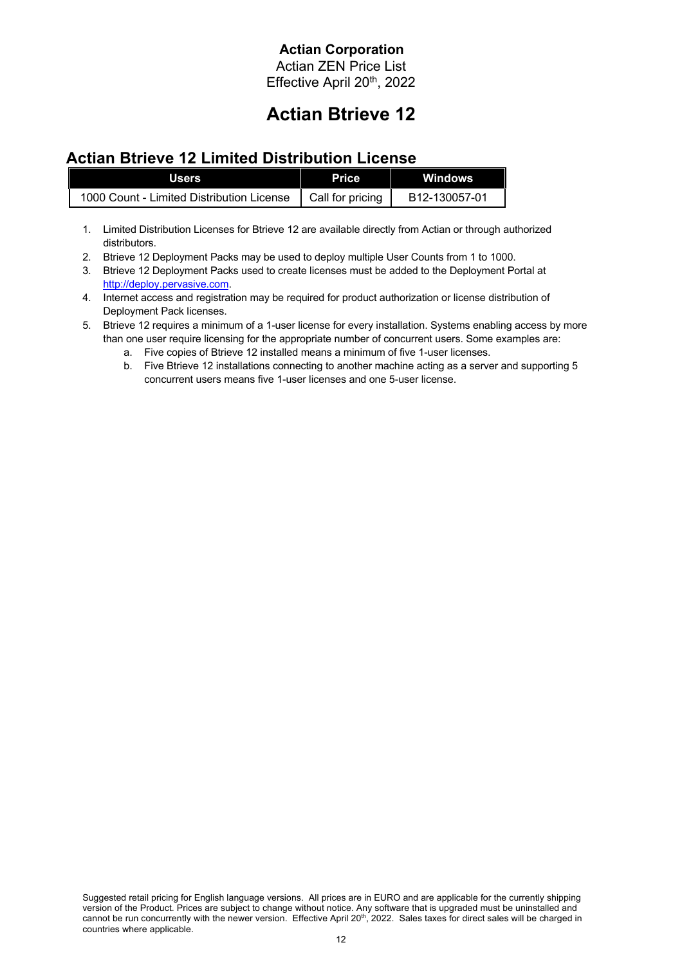Actian ZEN Price List Effective April 20th, 2022

# **Actian Btrieve 12**

### **Actian Btrieve 12 Limited Distribution License**

| <b>Users</b>                              | <b>Price</b>     | <b>Windows</b> |
|-------------------------------------------|------------------|----------------|
| 1000 Count - Limited Distribution License | Call for pricing | B12-130057-01  |

- 1. Limited Distribution Licenses for Btrieve 12 are available directly from Actian or through authorized distributors.
- 2. Btrieve 12 Deployment Packs may be used to deploy multiple User Counts from 1 to 1000.
- 3. Btrieve 12 Deployment Packs used to create licenses must be added to the Deployment Portal at http://deploy.pervasive.com.
- 4. Internet access and registration may be required for product authorization or license distribution of Deployment Pack licenses.
- 5. Btrieve 12 requires a minimum of a 1-user license for every installation. Systems enabling access by more than one user require licensing for the appropriate number of concurrent users. Some examples are:
	- a. Five copies of Btrieve 12 installed means a minimum of five 1-user licenses.
	- b. Five Btrieve 12 installations connecting to another machine acting as a server and supporting 5 concurrent users means five 1-user licenses and one 5-user license.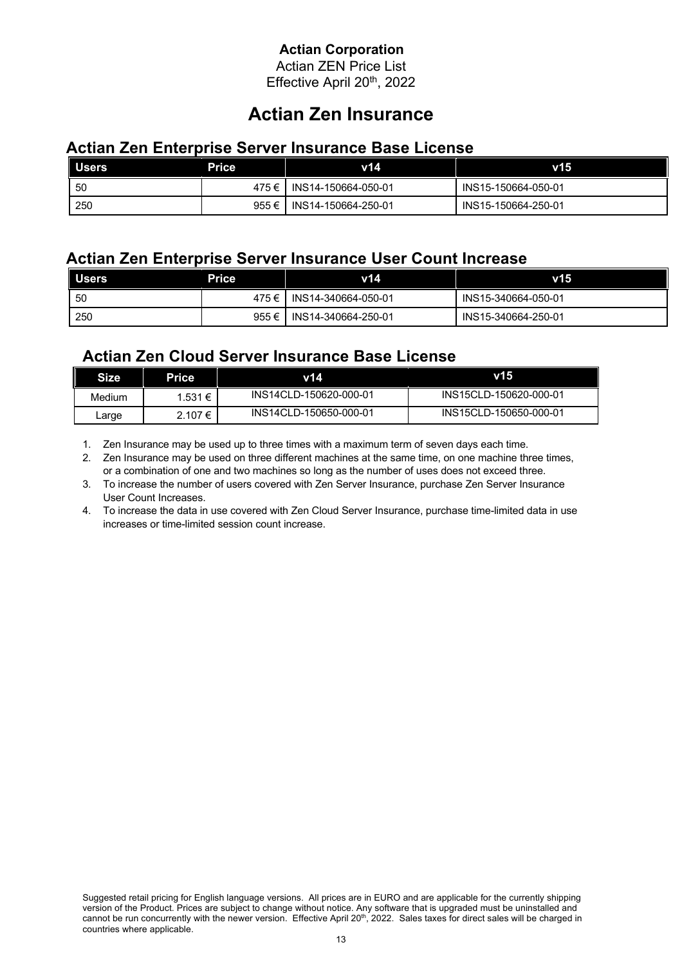Actian ZEN Price List Effective April 20th, 2022

# **Actian Zen Insurance**

#### **Actian Zen Enterprise Server Insurance Base License**

| <b>Users</b> | <b>Price</b> | v14                         | v15                 |
|--------------|--------------|-----------------------------|---------------------|
| -50          |              | 475 € I INS14-150664-050-01 | INS15-150664-050-01 |
| 250          | $955 \in I$  | INS14-150664-250-01         | INS15-150664-250-01 |

#### **Actian Zen Enterprise Server Insurance User Count Increase**

| <b>Users</b> | <b>Price</b> | v14                 | V15                 |
|--------------|--------------|---------------------|---------------------|
| 50           | 475€ I       | INS14-340664-050-01 | INS15-340664-050-01 |
| 250          | 955 €        | INS14-340664-250-01 | INS15-340664-250-01 |

### **Actian Zen Cloud Server Insurance Base License**

| Size   | Price       | v14                    | V15                    |
|--------|-------------|------------------------|------------------------|
| Medium | 1.531 €     | INS14CLD-150620-000-01 | INS15CLD-150620-000-01 |
| Large  | $2.107 \in$ | INS14CLD-150650-000-01 | INS15CLD-150650-000-01 |

1. Zen Insurance may be used up to three times with a maximum term of seven days each time.

2. Zen Insurance may be used on three different machines at the same time, on one machine three times, or a combination of one and two machines so long as the number of uses does not exceed three.

3. To increase the number of users covered with Zen Server Insurance, purchase Zen Server Insurance User Count Increases.

4. To increase the data in use covered with Zen Cloud Server Insurance, purchase time-limited data in use increases or time-limited session count increase.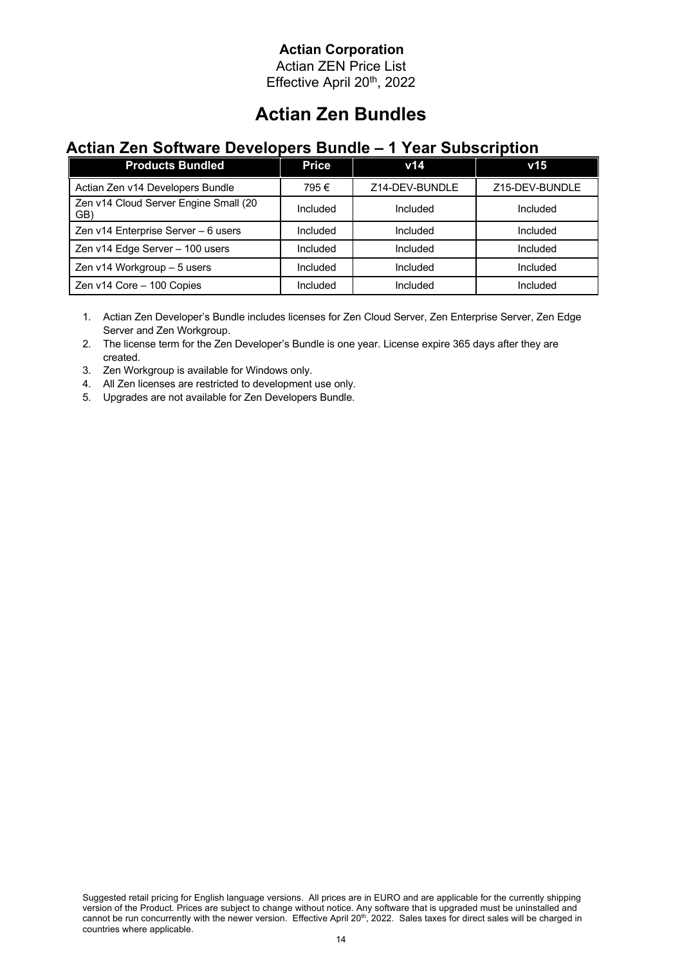Actian ZEN Price List Effective April 20th, 2022

# **Actian Zen Bundles**

#### **Actian Zen Software Developers Bundle – 1 Year Subscription**

| <b>Products Bundled</b>                      | <b>Price</b> | v14            | v15            |
|----------------------------------------------|--------------|----------------|----------------|
| Actian Zen v14 Developers Bundle             | 795€         | Z14-DEV-BUNDLE | Z15-DEV-BUNDLE |
| Zen v14 Cloud Server Engine Small (20<br>GB) | Included     | Included       | Included       |
| Zen v14 Enterprise Server - 6 users          | Included     | Included       | Included       |
| Zen v14 Edge Server - 100 users              | Included     | Included       | Included       |
| Zen v14 Workgroup - 5 users                  | Included     | Included       | Included       |
| Zen v14 Core - 100 Copies                    | Included     | Included       | Included       |

1. Actian Zen Developer's Bundle includes licenses for Zen Cloud Server, Zen Enterprise Server, Zen Edge Server and Zen Workgroup.

2. The license term for the Zen Developer's Bundle is one year. License expire 365 days after they are created.

3. Zen Workgroup is available for Windows only.

4. All Zen licenses are restricted to development use only.

5. Upgrades are not available for Zen Developers Bundle.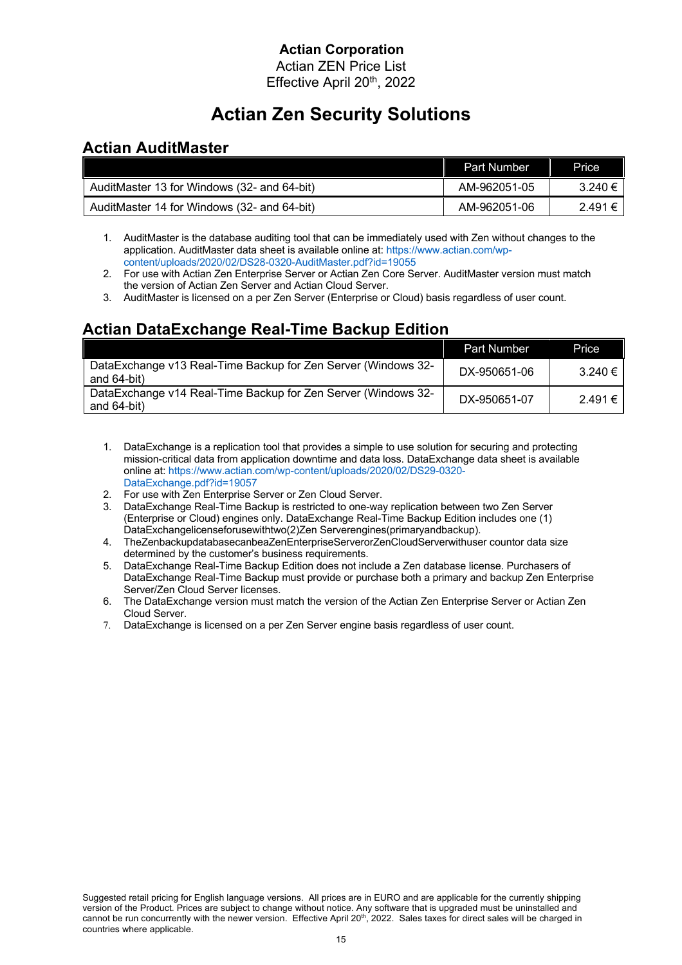Actian ZEN Price List Effective April 20<sup>th</sup>, 2022

# **Actian Zen Security Solutions**

### **Actian AuditMaster**

|                                             | <b>Part Number</b> | Price       |
|---------------------------------------------|--------------------|-------------|
| AuditMaster 13 for Windows (32- and 64-bit) | AM-962051-05       | $3.240 \in$ |
| AuditMaster 14 for Windows (32- and 64-bit) | AM-962051-06       | 2.491€      |

- 1. AuditMaster is the database auditing tool that can be immediately used with Zen without changes to the application. AuditMaster data sheet is available online at: https://www.actian.com/wpcontent/uploads/2020/02/DS28-0320-AuditMaster.pdf?id=19055
- 2. For use with Actian Zen Enterprise Server or Actian Zen Core Server. AuditMaster version must match the version of Actian Zen Server and Actian Cloud Server.
- 3. AuditMaster is licensed on a per Zen Server (Enterprise or Cloud) basis regardless of user count.

## **Actian DataExchange Real-Time Backup Edition**

|                                                                              | <b>Part Number</b> | <b>Price</b> |
|------------------------------------------------------------------------------|--------------------|--------------|
| DataExchange v13 Real-Time Backup for Zen Server (Windows 32-<br>and 64-bit) | DX-950651-06       | 3.240€       |
| DataExchange v14 Real-Time Backup for Zen Server (Windows 32-<br>and 64-bit) | DX-950651-07       | 2.491 €      |

- 1. DataExchange is a replication tool that provides a simple to use solution for securing and protecting mission-critical data from application downtime and data loss. DataExchange data sheet is available online at: https://www.actian.com/wp-content/uploads/2020/02/DS29-0320- DataExchange.pdf?id=19057
- 
- 2. For use with Zen Enterprise Server or Zen Cloud Server.<br>3. DataExchange Real-Time Backup is restricted to one-wa DataExchange Real-Time Backup is restricted to one-way replication between two Zen Server (Enterprise or Cloud) engines only. DataExchange Real-Time Backup Edition includes one (1) DataExchangelicenseforusewithtwo(2)Zen Serverengines(primaryandbackup).
- 4. TheZenbackupdatabasecanbeaZenEnterpriseServerorZenCloudServerwithuser countor data size determined by the customer's business requirements.
- 5. DataExchange Real-Time Backup Edition does not include a Zen database license. Purchasers of DataExchange Real-Time Backup must provide or purchase both a primary and backup Zen Enterprise Server/Zen Cloud Server licenses.
- 6. The DataExchange version must match the version of the Actian Zen Enterprise Server or Actian Zen Cloud Server.
- 7. DataExchange is licensed on a per Zen Server engine basis regardless of user count.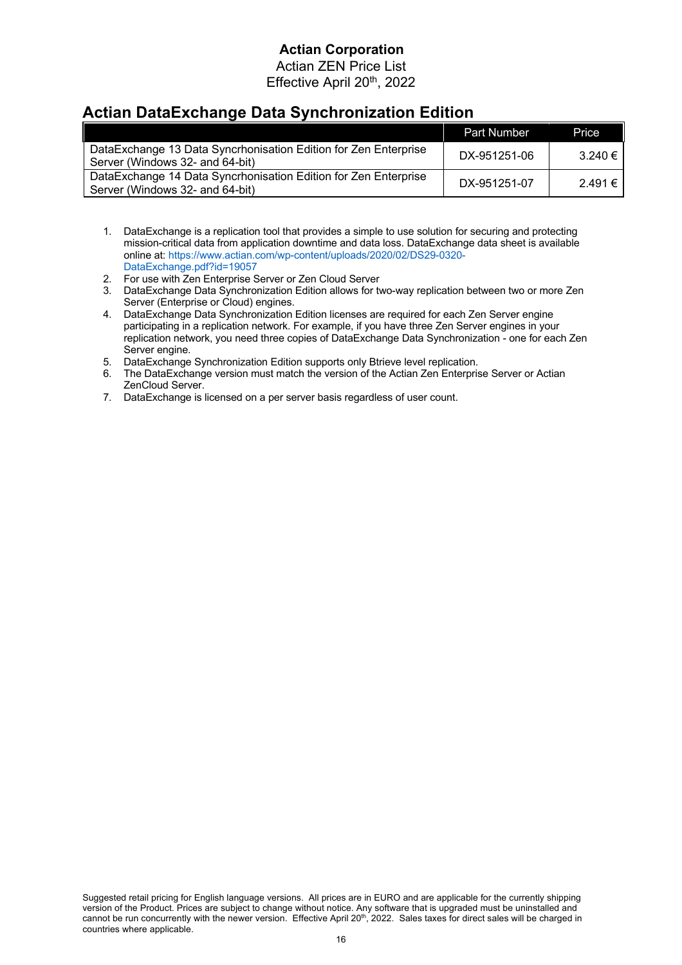Actian ZEN Price List Effective April 20th, 2022

## **Actian DataExchange Data Synchronization Edition**

|                                                                                                    | <b>Part Number</b> | <b>Price</b> |
|----------------------------------------------------------------------------------------------------|--------------------|--------------|
| DataExchange 13 Data Syncrhonisation Edition for Zen Enterprise<br>Server (Windows 32- and 64-bit) | DX-951251-06       | 3.240 €      |
| DataExchange 14 Data Syncrhonisation Edition for Zen Enterprise<br>Server (Windows 32- and 64-bit) | DX-951251-07       | 2.491€       |

- 1. DataExchange is a replication tool that provides a simple to use solution for securing and protecting mission-critical data from application downtime and data loss. DataExchange data sheet is available online at: https://www.actian.com/wp-content/uploads/2020/02/DS29-0320- DataExchange.pdf?id=19057
- 2. For use with Zen Enterprise Server or Zen Cloud Server
- 3. DataExchange Data Synchronization Edition allows for two-way replication between two or more Zen Server (Enterprise or Cloud) engines.
- 4. DataExchange Data Synchronization Edition licenses are required for each Zen Server engine participating in a replication network. For example, if you have three Zen Server engines in your replication network, you need three copies of DataExchange Data Synchronization - one for each Zen Server engine.
- 5. DataExchange Synchronization Edition supports only Btrieve level replication.
- 6. The DataExchange version must match the version of the Actian Zen Enterprise Server or Actian ZenCloud Server.
- 7. DataExchange is licensed on a per server basis regardless of user count.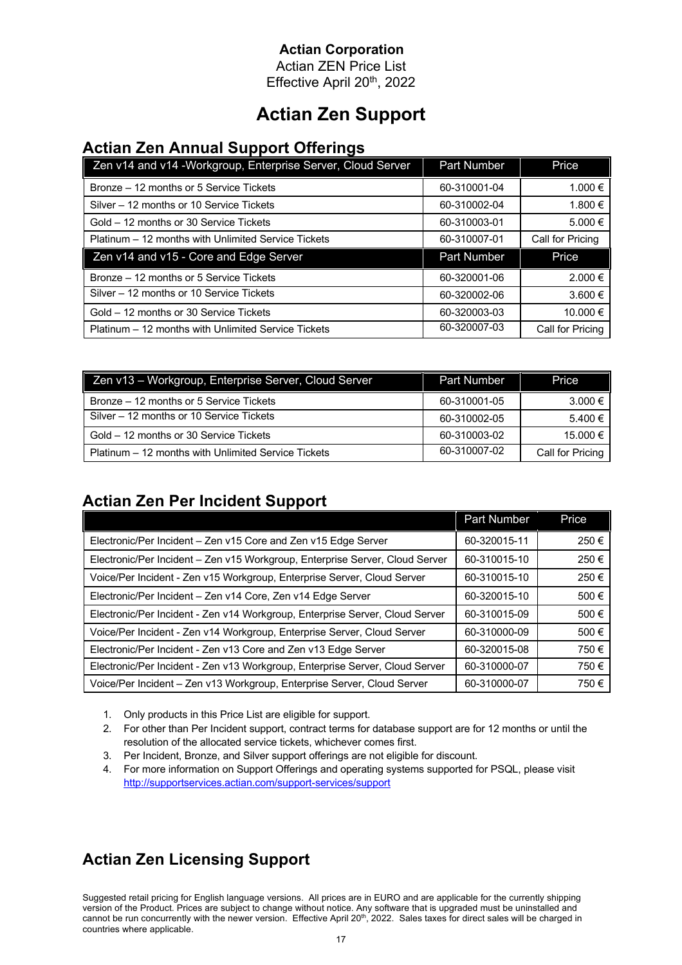Actian ZEN Price List Effective April 20th, 2022

# **Actian Zen Support**

### **Actian Zen Annual Support Offerings**

| Zen v14 and v14 - Workgroup, Enterprise Server, Cloud Server | <b>Part Number</b> | Price            |
|--------------------------------------------------------------|--------------------|------------------|
| Bronze – 12 months or 5 Service Tickets                      | 60-310001-04       | 1.000 €          |
| Silver – 12 months or 10 Service Tickets                     | 60-310002-04       | 1.800 €          |
| Gold – 12 months or 30 Service Tickets                       | 60-310003-01       | 5.000 €          |
| Platinum – 12 months with Unlimited Service Tickets          | 60-310007-01       | Call for Pricing |
|                                                              |                    |                  |
| Zen v14 and v15 - Core and Edge Server                       | <b>Part Number</b> | Price            |
| Bronze – 12 months or 5 Service Tickets                      | 60-320001-06       | 2.000 €          |
| Silver - 12 months or 10 Service Tickets                     | 60-320002-06       | 3.600 €          |
| Gold – 12 months or 30 Service Tickets                       | 60-320003-03       | 10.000 €         |

| Zen v13 - Workgroup, Enterprise Server, Cloud Server | Part Number  | Price            |
|------------------------------------------------------|--------------|------------------|
| Bronze – 12 months or 5 Service Tickets              | 60-310001-05 | 3.000 €          |
| Silver – 12 months or 10 Service Tickets             | 60-310002-05 | 5.400 €          |
| Gold – 12 months or 30 Service Tickets               | 60-310003-02 | 15.000 €         |
| Platinum – 12 months with Unlimited Service Tickets  | 60-310007-02 | Call for Pricing |

## **Actian Zen Per Incident Support**

|                                                                              | <b>Part Number</b> | <b>Price</b> |
|------------------------------------------------------------------------------|--------------------|--------------|
| Electronic/Per Incident - Zen v15 Core and Zen v15 Edge Server               | 60-320015-11       | 250€         |
| Electronic/Per Incident - Zen v15 Workgroup, Enterprise Server, Cloud Server | 60-310015-10       | 250€         |
| Voice/Per Incident - Zen v15 Workgroup, Enterprise Server, Cloud Server      | 60-310015-10       | 250€         |
| Electronic/Per Incident - Zen v14 Core, Zen v14 Edge Server                  | 60-320015-10       | 500€         |
| Electronic/Per Incident - Zen v14 Workgroup, Enterprise Server, Cloud Server | 60-310015-09       | 500€         |
| Voice/Per Incident - Zen v14 Workgroup, Enterprise Server, Cloud Server      | 60-310000-09       | 500€         |
| Electronic/Per Incident - Zen v13 Core and Zen v13 Edge Server               | 60-320015-08       | 750€         |
| Electronic/Per Incident - Zen v13 Workgroup, Enterprise Server, Cloud Server | 60-310000-07       | 750€         |
| Voice/Per Incident - Zen v13 Workgroup, Enterprise Server, Cloud Server      | 60-310000-07       | 750€         |

- 1. Only products in this Price List are eligible for support.
- 2. For other than Per Incident support, contract terms for database support are for 12 months or until the resolution of the allocated service tickets, whichever comes first.
- 3. Per Incident, Bronze, and Silver support offerings are not eligible for discount.
- 4. For more information on Support Offerings and operating systems supported for PSQL, please visit http://supportservices.actian.com/support-services/support

## **Actian Zen Licensing Support**